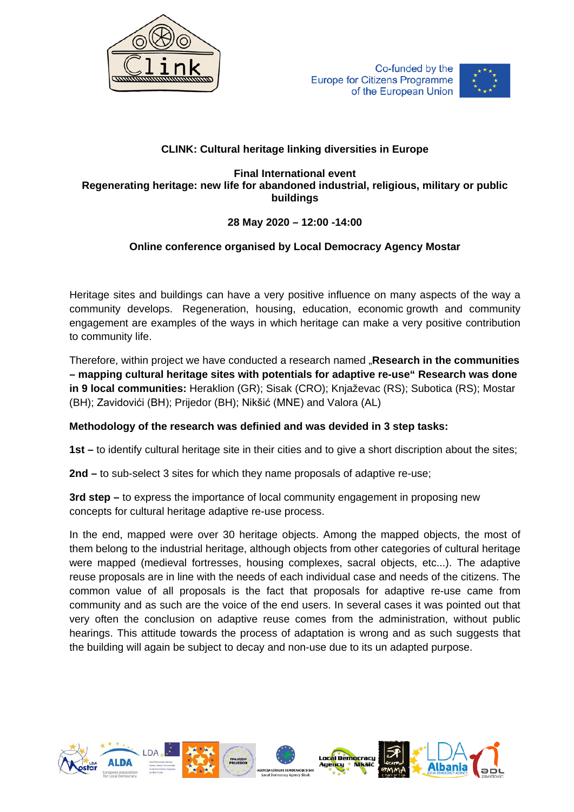



## **CLINK: Cultural heritage linking diversities in Europe**

**Final International event Regenerating heritage: new life for abandoned industrial, religious, military or public buildings**

## **28 May 2020 – 12:00 -14:00**

## **Online conference organised by Local Democracy Agency Mostar**

Heritage sites and buildings can have a very positive influence on many aspects of the way a community develops. Regeneration, housing, education, economic growth and community engagement are examples of the ways in which heritage can make a very positive contribution to community life.

Therefore, within project we have conducted a research named "**Research in the communities – mapping cultural heritage sites with potentials for adaptive re-use" Research was done in 9 local communities:** Heraklion (GR); Sisak (CRO); Knjaževac (RS); Subotica (RS); Mostar (BH); Zavidovići (BH); Prijedor (BH); Nikšić (MNE) and Valora (AL)

## **Methodology of the research was definied and was devided in 3 step tasks:**

**1st –** to identify cultural heritage site in their cities and to give a short discription about the sites;

**2nd –** to sub-select 3 sites for which they name proposals of adaptive re-use;

**3rd step –** to express the importance of local community engagement in proposing new concepts for cultural heritage adaptive re-use process.

In the end, mapped were over 30 heritage objects. Among the mapped objects, the most of them belong to the industrial heritage, although objects from other categories of cultural heritage were mapped (medieval fortresses, housing complexes, sacral objects, etc...). The adaptive reuse proposals are in line with the needs of each individual case and needs of the citizens. The common value of all proposals is the fact that proposals for adaptive re-use came from community and as such are the voice of the end users. In several cases it was pointed out that very often the conclusion on adaptive reuse comes from the administration, without public hearings. This attitude towards the process of adaptation is wrong and as such suggests that the building will again be subject to decay and non-use due to its un adapted purpose.

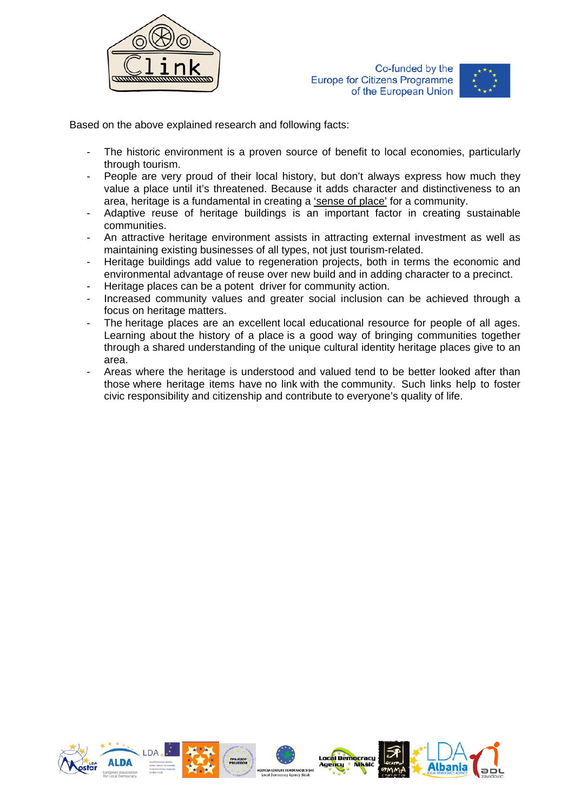



Based on the above explained research and following facts:

- The historic environment is a proven source of benefit to local economies, particularly through tourism.
- People are very proud of their local history, but don't always express how much they value a place until it's threatened. Because it adds character and distinctiveness to an area, heritage is a fundamental in creating a 'sense of place' for a community.
- Adaptive reuse of heritage buildings is an important factor in creating sustainable communities.
- An attractive heritage environment assists in attracting external investment as well as maintaining existing businesses of all types, not just tourism-related.
- Heritage buildings add value to regeneration projects, both in terms the economic and environmental advantage of reuse over new build and in adding character to a precinct.
- Heritage places can be a potent driver for community action.
- Increased community values and greater social inclusion can be achieved through a focus on heritage matters.
- The heritage places are an excellent local educational resource for people of all ages. Learning about the history of a place is a good way of bringing communities together through a shared understanding of the unique cultural identity heritage places give to an area.
- Areas where the heritage is understood and valued tend to be better looked after than those where heritage items have no link with the community. Such links help to foster civic responsibility and citizenship and contribute to everyone's quality of life.